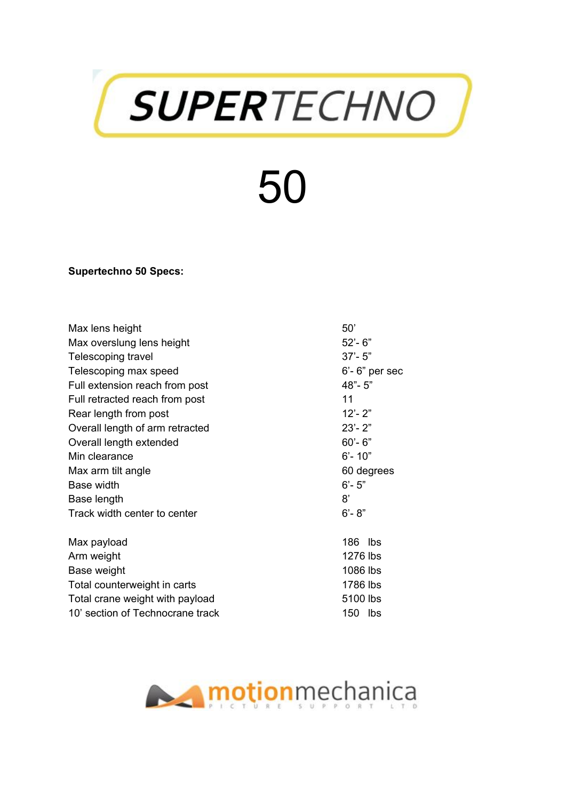

## 50

**Supertechno 50 Specs:**

| Max lens height                  | 50'                  |
|----------------------------------|----------------------|
| Max overslung lens height        | $52 - 6"$            |
| Telescoping travel               | $37 - 5"$            |
| Telescoping max speed            | $6'$ - $6''$ per sec |
| Full extension reach from post   | 48"-5"               |
| Full retracted reach from post   | 11                   |
| Rear length from post            | $12 - 2"$            |
| Overall length of arm retracted  | $23 - 2"$            |
| Overall length extended          | $60 - 6"$            |
| Min clearance                    | $6' - 10''$          |
| Max arm tilt angle               | 60 degrees           |
| <b>Base width</b>                | $6 - 5"$             |
| Base length                      | 8'                   |
| Track width center to center     | $6 - 8"$             |
| Max payload                      | 186 lbs              |
| Arm weight                       | 1276 lbs             |
| Base weight                      | 1086 lbs             |
| Total counterweight in carts     | 1786 lbs             |
| Total crane weight with payload  | 5100 lbs             |
| 10' section of Technocrane track | 150 lbs              |

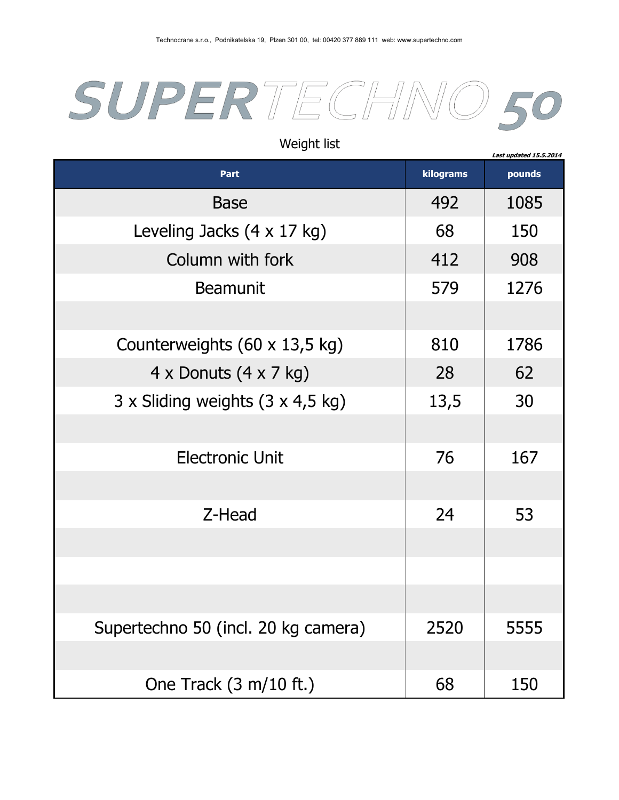

| Part                                        | kilograms | pounds |
|---------------------------------------------|-----------|--------|
| <b>Base</b>                                 | 492       | 1085   |
| Leveling Jacks $(4 \times 17 \text{ kg})$   | 68        | 150    |
| Column with fork                            | 412       | 908    |
| <b>Beamunit</b>                             | 579       | 1276   |
|                                             |           |        |
| Counterweights (60 x 13,5 kg)               | 810       | 1786   |
| $4 \times$ Donuts $(4 \times 7 \text{ kg})$ | 28        | 62     |
| 3 x Sliding weights (3 x 4,5 kg)            | 13,5      | 30     |
|                                             |           |        |
| <b>Electronic Unit</b>                      | 76        | 167    |
|                                             |           |        |
| Z-Head                                      | 24        | 53     |
|                                             |           |        |
|                                             |           |        |
|                                             |           |        |
| Supertechno 50 (incl. 20 kg camera)         | 2520      | 5555   |
|                                             |           |        |
| One Track $(3 \text{ m}/10 \text{ ft.})$    | 68        | 150    |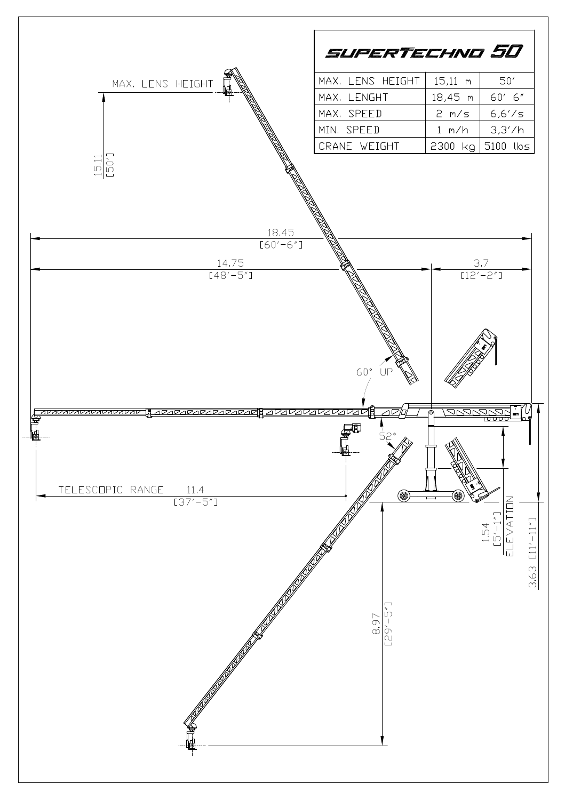|                      | SUPERTECHNO 50   |           |             |
|----------------------|------------------|-----------|-------------|
| MAX, LENS HEIGHT     | MAX. LENS HEIGHT | $15,11$ m | 50'         |
|                      | MAX. LENGHT      | 18,45 m   | 60' 6"      |
|                      | MAX. SPEED       | 2 m/s     | 6,6'/s      |
|                      | MIN. SPEED       | 1 m/h     | 3,3'/h      |
|                      | CRANE WEIGHT     | ,2300 kg! | 5100 lbs    |
| ╰──┘│└──<br>18.45    |                  |           |             |
| $[60'-6'']$<br>14,75 |                  | 3.7       |             |
| $[48' - 5'']$        |                  |           | $[12'-2'']$ |